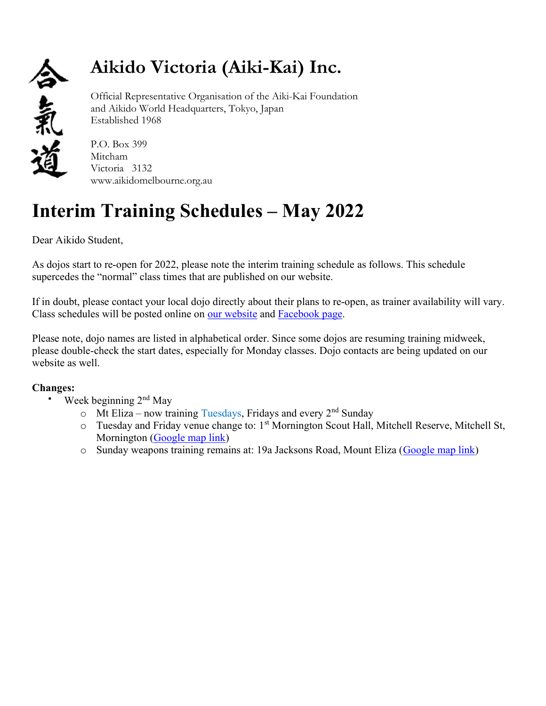

## Aikido Victoria (Aiki-Kai) Inc.

Official Representative Organisation of the Aiki-Kai Foundation and Aikido World Headquarters, Tokyo, Japan Established 1968

P.O. Box 399 Mitcham Victoria 3132 www.aikidomelbourne.org.au

## Interim Training Schedules – May 2022

Dear Aikido Student,

As dojos start to re-open for 2022, please note the interim training schedule as follows. This schedule supercedes the "normal" class times that are published on our website.

If in doubt, please contact your local dojo directly about their plans to re-open, as trainer availability will vary. Class schedules will be posted online on our website and Facebook page.

Please note, dojo names are listed in alphabetical order. Since some dojos are resuming training midweek, please double-check the start dates, especially for Monday classes. Dojo contacts are being updated on our website as well.

## Changes:

- Week beginning 2<sup>nd</sup> May
	- $\circ$  Mt Eliza now training Tuesdays, Fridays and every 2<sup>nd</sup> Sunday
	- $\circ$  Tuesday and Friday venue change to: 1<sup>st</sup> Mornington Scout Hall, Mitchell Reserve, Mitchell St, Mornington (Google map link)
	- o Sunday weapons training remains at: 19a Jacksons Road, Mount Eliza (Google map link)